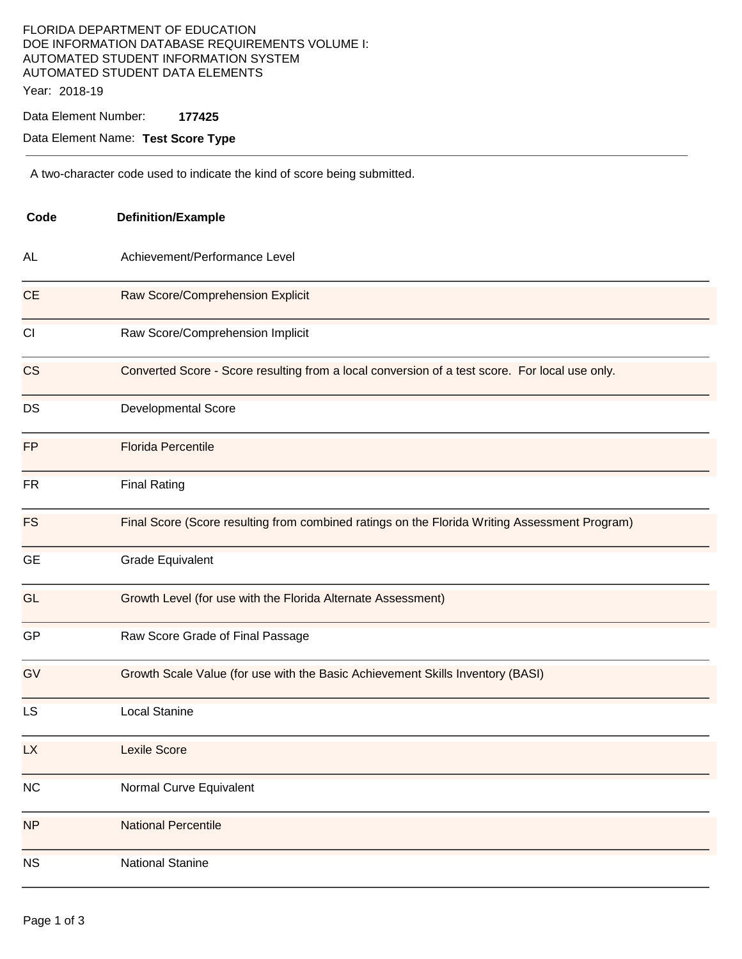### FLORIDA DEPARTMENT OF EDUCATION DOE INFORMATION DATABASE REQUIREMENTS VOLUME I: AUTOMATED STUDENT INFORMATION SYSTEM AUTOMATED STUDENT DATA ELEMENTS Year: 2018-19

Data Element Number: **177425** 

Data Element Name: **Test Score Type** 

A two-character code used to indicate the kind of score being submitted.

| Code      | <b>Definition/Example</b><br>Achievement/Performance Level                                     |  |  |
|-----------|------------------------------------------------------------------------------------------------|--|--|
| AL        |                                                                                                |  |  |
| <b>CE</b> | Raw Score/Comprehension Explicit                                                               |  |  |
| CI        | Raw Score/Comprehension Implicit                                                               |  |  |
| <b>CS</b> | Converted Score - Score resulting from a local conversion of a test score. For local use only. |  |  |
| DS        | <b>Developmental Score</b>                                                                     |  |  |
| <b>FP</b> | <b>Florida Percentile</b>                                                                      |  |  |
| FR        | <b>Final Rating</b>                                                                            |  |  |
| <b>FS</b> | Final Score (Score resulting from combined ratings on the Florida Writing Assessment Program)  |  |  |
| <b>GE</b> | <b>Grade Equivalent</b>                                                                        |  |  |
| <b>GL</b> | Growth Level (for use with the Florida Alternate Assessment)                                   |  |  |
| GP        | Raw Score Grade of Final Passage                                                               |  |  |
| GV        | Growth Scale Value (for use with the Basic Achievement Skills Inventory (BASI)                 |  |  |
| <b>LS</b> | <b>Local Stanine</b>                                                                           |  |  |
| <b>LX</b> | <b>Lexile Score</b>                                                                            |  |  |
| NC        | Normal Curve Equivalent                                                                        |  |  |
| <b>NP</b> | <b>National Percentile</b>                                                                     |  |  |
| NS        | <b>National Stanine</b>                                                                        |  |  |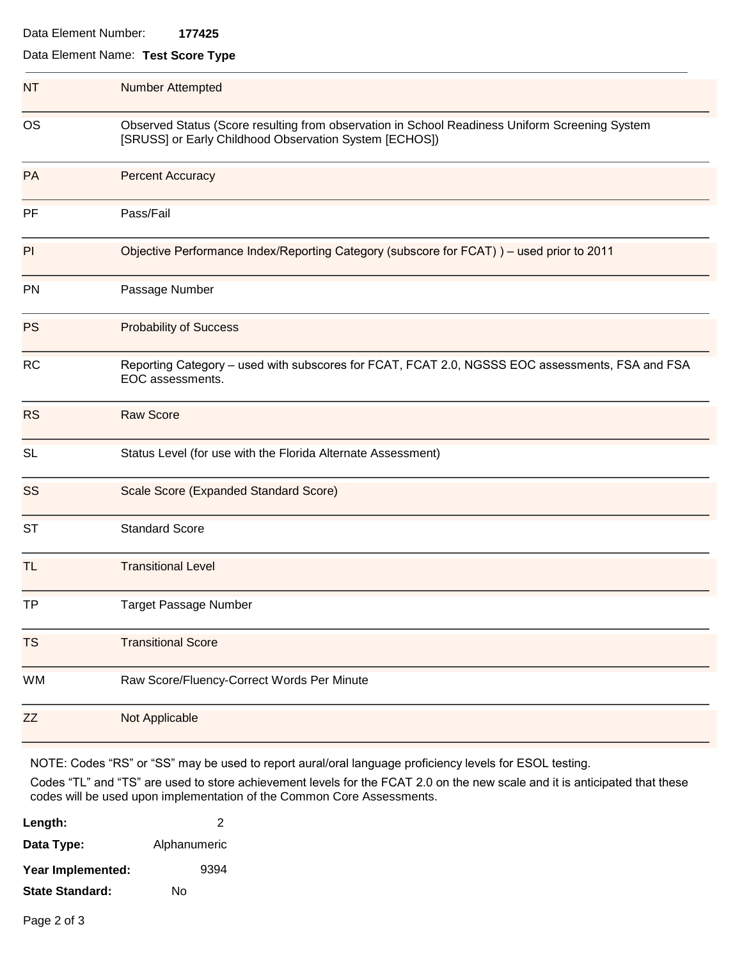| Data Element Number: | 177425 |
|----------------------|--------|
|                      |        |

### Data Element Name: **Test Score Type**

| <b>NT</b> | <b>Number Attempted</b>                                                                                                                                  |  |  |
|-----------|----------------------------------------------------------------------------------------------------------------------------------------------------------|--|--|
| <b>OS</b> | Observed Status (Score resulting from observation in School Readiness Uniform Screening System<br>[SRUSS] or Early Childhood Observation System [ECHOS]) |  |  |
| PA        | <b>Percent Accuracy</b>                                                                                                                                  |  |  |
| PF        | Pass/Fail                                                                                                                                                |  |  |
| PI        | Objective Performance Index/Reporting Category (subscore for FCAT)) - used prior to 2011                                                                 |  |  |
| PN        | Passage Number                                                                                                                                           |  |  |
| <b>PS</b> | <b>Probability of Success</b>                                                                                                                            |  |  |
| <b>RC</b> | Reporting Category - used with subscores for FCAT, FCAT 2.0, NGSSS EOC assessments, FSA and FSA<br>EOC assessments.                                      |  |  |
| <b>RS</b> | <b>Raw Score</b>                                                                                                                                         |  |  |
| <b>SL</b> | Status Level (for use with the Florida Alternate Assessment)                                                                                             |  |  |
| SS        | Scale Score (Expanded Standard Score)                                                                                                                    |  |  |
| <b>ST</b> | <b>Standard Score</b>                                                                                                                                    |  |  |
| TL        | <b>Transitional Level</b>                                                                                                                                |  |  |
| TP        | <b>Target Passage Number</b>                                                                                                                             |  |  |
| <b>TS</b> | <b>Transitional Score</b>                                                                                                                                |  |  |
| WM        | Raw Score/Fluency-Correct Words Per Minute                                                                                                               |  |  |
| <b>ZZ</b> | Not Applicable                                                                                                                                           |  |  |

NOTE: Codes "RS" or "SS" may be used to report aural/oral language proficiency levels for ESOL testing. 

Codes "TL" and "TS" are used to store achievement levels for the FCAT 2.0 on the new scale and it is anticipated that these codes will be used upon implementation of the Common Core Assessments.

| Length:                | 2            |
|------------------------|--------------|
| Data Type:             | Alphanumeric |
| Year Implemented:      | 9394         |
| <b>State Standard:</b> | N٥           |